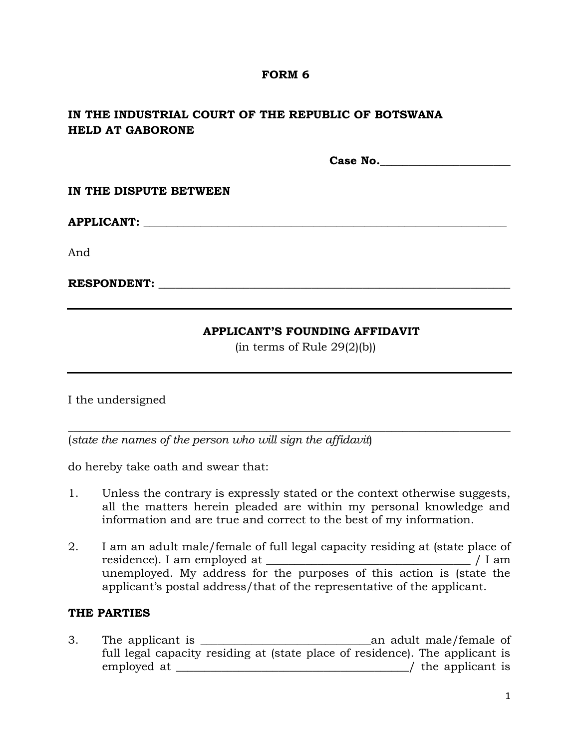### **FORM 6**

# **IN THE INDUSTRIAL COURT OF THE REPUBLIC OF BOTSWANA HELD AT GABORONE**

**Case No.\_\_\_\_\_\_\_\_\_\_\_\_\_\_\_\_\_\_\_\_\_\_\_**

#### **IN THE DISPUTE BETWEEN**

# **APPLICANT: \_\_\_\_\_\_\_\_\_\_\_\_\_\_\_\_\_\_\_\_\_\_\_\_\_\_\_\_\_\_\_\_\_\_\_\_\_\_\_\_\_\_\_\_\_\_\_\_\_\_\_\_\_\_\_\_\_\_\_\_\_\_\_\_**

And

### **RESPONDENT:**  $\blacksquare$

### **APPLICANT'S FOUNDING AFFIDAVIT**

 $(in terms of Rule 29(2)(b))$ 

I the undersigned

(*state the names of the person who will sign the affidavit*)

do hereby take oath and swear that:

1. Unless the contrary is expressly stated or the context otherwise suggests, all the matters herein pleaded are within my personal knowledge and information and are true and correct to the best of my information.

\_\_\_\_\_\_\_\_\_\_\_\_\_\_\_\_\_\_\_\_\_\_\_\_\_\_\_\_\_\_\_\_\_\_\_\_\_\_\_\_\_\_\_\_\_\_\_\_\_\_\_\_\_\_\_\_\_\_\_\_\_\_\_\_\_\_\_\_\_\_\_\_\_\_\_\_\_\_

2. I am an adult male/female of full legal capacity residing at (state place of residence). I am employed at \_\_\_\_\_\_\_\_\_\_\_\_\_\_\_\_\_\_\_\_\_\_\_\_\_\_\_\_\_\_\_\_\_\_\_\_ / I am unemployed. My address for the purposes of this action is (state the applicant's postal address/that of the representative of the applicant.

## **THE PARTIES**

3. The applicant is \_\_\_\_\_\_\_\_\_\_\_\_\_\_\_\_\_\_\_\_\_\_\_\_\_\_\_\_\_\_an adult male/female of full legal capacity residing at (state place of residence). The applicant is employed at  $\ell$  is the applicant is  $\ell$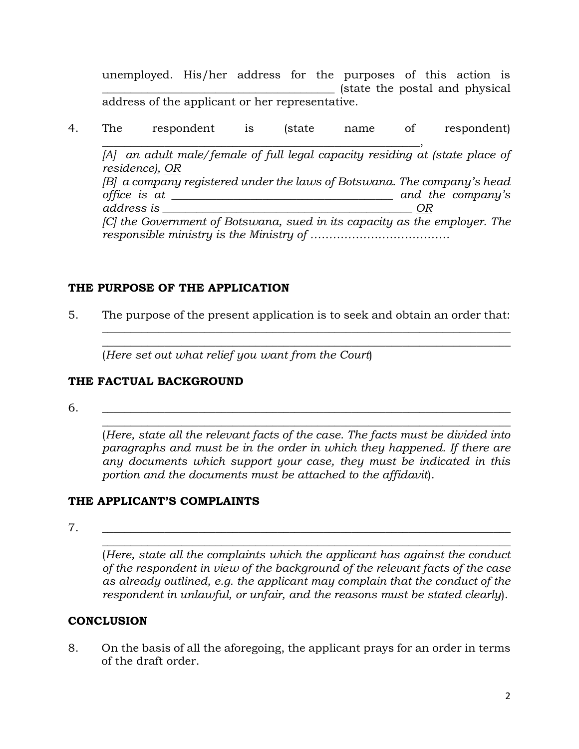unemployed. His/her address for the purposes of this action is \_\_\_\_\_\_\_\_\_\_\_\_\_\_\_\_\_\_\_\_\_\_\_\_\_\_\_\_\_\_\_\_\_\_\_\_\_\_\_\_\_ (state the postal and physical address of the applicant or her representative.

4. The respondent is (state name of respondent) \_\_\_\_\_\_\_\_\_\_\_\_\_\_\_\_\_\_\_\_\_\_\_\_\_\_\_\_\_\_\_\_\_\_\_\_\_\_\_\_\_\_\_\_\_\_\_\_\_\_\_\_\_\_\_\_, *[A] an adult male/female of full legal capacity residing at (state place of residence), OR [B] a company registered under the laws of Botswana. The company's head office is at \_\_\_\_\_\_\_\_\_\_\_\_\_\_\_\_\_\_\_\_\_\_\_\_\_\_\_\_\_\_\_\_\_\_\_\_\_\_\_ and the company's address is \_\_\_\_\_\_\_\_\_\_\_\_\_\_\_\_\_\_\_\_\_\_\_\_\_\_\_\_\_\_\_\_\_\_\_\_\_\_\_\_\_\_\_\_ OR [C] the Government of Botswana, sued in its capacity as the employer. The responsible ministry is the Ministry of ……………………………….*

## **THE PURPOSE OF THE APPLICATION**

5. The purpose of the present application is to seek and obtain an order that:

 $\_$  , and the set of the set of the set of the set of the set of the set of the set of the set of the set of the set of the set of the set of the set of the set of the set of the set of the set of the set of the set of th  $\_$  , and the set of the set of the set of the set of the set of the set of the set of the set of the set of the set of the set of the set of the set of the set of the set of the set of the set of the set of the set of th

(*Here set out what relief you want from the Court*)

## **THE FACTUAL BACKGROUND**

6. \_\_\_\_\_\_\_\_\_\_\_\_\_\_\_\_\_\_\_\_\_\_\_\_\_\_\_\_\_\_\_\_\_\_\_\_\_\_\_\_\_\_\_\_\_\_\_\_\_\_\_\_\_\_\_\_\_\_\_\_\_\_\_\_\_\_\_\_\_\_\_\_

(*Here, state all the relevant facts of the case. The facts must be divided into paragraphs and must be in the order in which they happened. If there are any documents which support your case, they must be indicated in this portion and the documents must be attached to the affidavit*).

 $\_$  , and the set of the set of the set of the set of the set of the set of the set of the set of the set of the set of the set of the set of the set of the set of the set of the set of the set of the set of the set of th

# **THE APPLICANT'S COMPLAINTS**

7. \_\_\_\_\_\_\_\_\_\_\_\_\_\_\_\_\_\_\_\_\_\_\_\_\_\_\_\_\_\_\_\_\_\_\_\_\_\_\_\_\_\_\_\_\_\_\_\_\_\_\_\_\_\_\_\_\_\_\_\_\_\_\_\_\_\_\_\_\_\_\_\_

(*Here, state all the complaints which the applicant has against the conduct of the respondent in view of the background of the relevant facts of the case as already outlined, e.g. the applicant may complain that the conduct of the respondent in unlawful, or unfair, and the reasons must be stated clearly*).

 $\_$  , and the set of the set of the set of the set of the set of the set of the set of the set of the set of the set of the set of the set of the set of the set of the set of the set of the set of the set of the set of th

# **CONCLUSION**

8. On the basis of all the aforegoing, the applicant prays for an order in terms of the draft order.